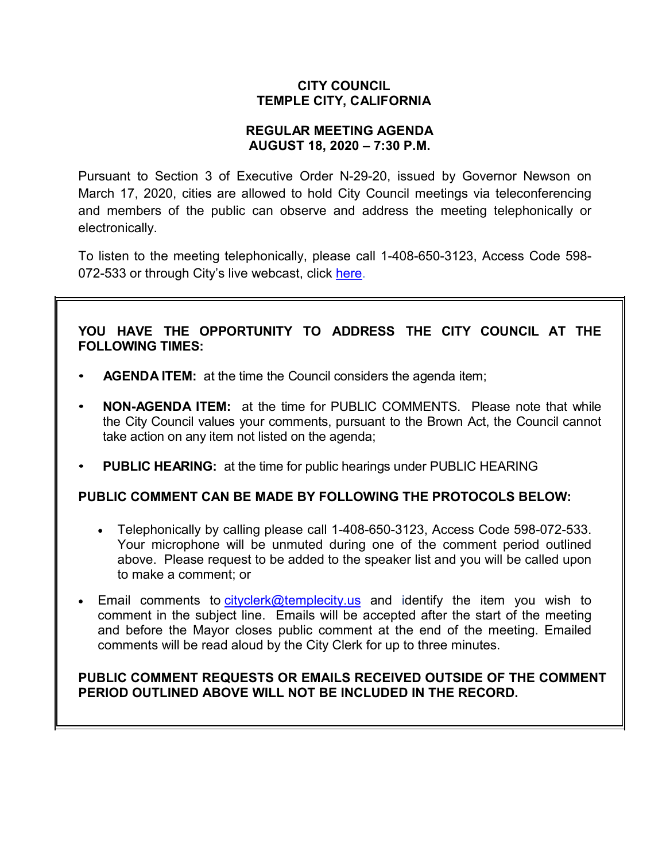# **CITY COUNCIL TEMPLE CITY, CALIFORNIA**

### **REGULAR MEETING AGENDA AUGUST 18, 2020 – 7:30 P.M.**

Pursuant to Section 3 of Executive Order N-29-20, issued by Governor Newson on March 17, 2020, cities are allowed to hold City Council meetings via teleconferencing and members of the public can observe and address the meeting telephonically or electronically.

To listen to the meeting telephonically, please call [1-408-650-3123,](tel:+16467493112,,558626973) Access Code 598 072-533 or through City's live webcast, click [here.](https://www.ci.temple-city.ca.us/516/Meeting-Webcast)

# **YOU HAVE THE OPPORTUNITY TO ADDRESS THE CITY COUNCIL AT THE FOLLOWING TIMES:**

- **AGENDA ITEM:** at the time the Council considers the agenda item;
- **NON-AGENDA ITEM:** at the time for PUBLIC COMMENTS. Please note that while the City Council values your comments, pursuant to the Brown Act, the Council cannot take action on any item not listed on the agenda;
- **PUBLIC HEARING:** at the time for public hearings under PUBLIC HEARING

### **PUBLIC COMMENT CAN BE MADE BY FOLLOWING THE PROTOCOLS BELOW:**

- Telephonically by calling please call 1-408-650-3123, Access Code 598-072-533. Your microphone will be unmuted during one of the comment period outlined above. Please request to be added to the speaker list and you will be called upon to make a comment; or
- Email comments to [cityclerk@templecity.us](mailto:cityclerk@templecity.us) and identify the item you wish to comment in the subject line. Emails will be accepted after the start of the meeting and before the Mayor closes public comment at the end of the meeting. Emailed comments will be read aloud by the City Clerk for up to three minutes.

# **PUBLIC COMMENT REQUESTS OR EMAILS RECEIVED OUTSIDE OF THE COMMENT PERIOD OUTLINED ABOVE WILL NOT BE INCLUDED IN THE RECORD.**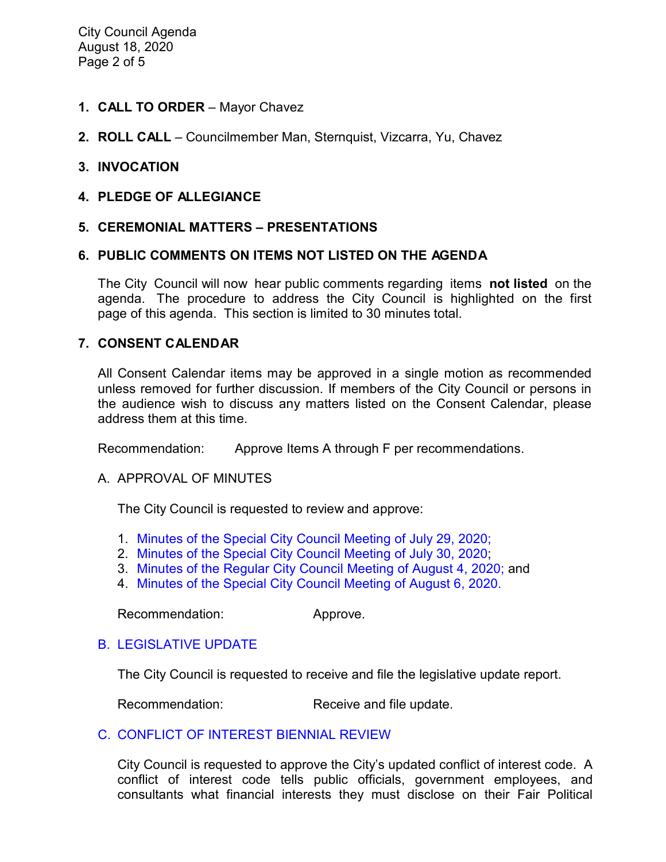City Council Agenda August 18, 2020 Page 2 of 5

- **1. CALL TO ORDER**  Mayor Chavez
- **2. ROLL CALL**  Councilmember Man, Sternquist, Vizcarra, Yu, Chavez

#### **3. INVOCATION**

**4. PLEDGE OF ALLEGIANCE**

#### **5. CEREMONIAL MATTERS – PRESENTATIONS**

#### **6. PUBLIC COMMENTS ON ITEMS NOT LISTED ON THE AGENDA**

The City Council will now hear public comments regarding items **not listed** on the agenda. The procedure to address the City Council is highlighted on the first page of this agenda. This section is limited to 30 minutes total.

#### **7. CONSENT CALENDAR**

All Consent Calendar items may be approved in a single motion as recommended unless removed for further discussion. If members of the City Council or persons in the audience wish to discuss any matters listed on the Consent Calendar, please address them at this time.

Recommendation: Approve Items A through F per recommendations.

#### A. APPROVAL OF MINUTES

The City Council is requested to review and approve:

- 1. Minutes of the Special [City Council Meeting of](https://ca-templecity.civicplus.com/DocumentCenter/View/14901/02-7A-1-CCM---2020-07-29-Closed-Session_Anticipated-Litigation-and-eviction-moratorium) July 29, 2020;
- 2. [Minutes of the Special City Council Meeting of July 30, 2020;](https://ca-templecity.civicplus.com/DocumentCenter/View/14902/03-7A-2-CCM---2020-07-30-Sheriff-Monthly)
- 3. [Minutes of the Regular City Council Meeting of August 4, 2020;](https://ca-templecity.civicplus.com/DocumentCenter/View/14903/04-7A-3-CCM---2020-08-04) and
- 4. [Minutes of the Special City Council Meeting of August 6, 2020.](https://ca-templecity.civicplus.com/DocumentCenter/View/14909/05-7A-4-CCM---2020-08-06-Joint-Meeting-with-the-TCUSD)

Recommendation: Approve.

### B. [LEGISLATIVE UPDATE](https://ca-templecity.civicplus.com/DocumentCenter/View/14904/05-7B-Legislative-Update_Staff-Report_w-attachment)

The City Council is requested to receive and file the legislative update report.

Recommendation: Receive and file update.

#### C. [CONFLICT OF INTEREST BIENNIAL REVIEW](https://ca-templecity.civicplus.com/DocumentCenter/View/14905/06-7C-Biennial-Review-of-Conflict-of-Interest_Staff-Report_w-attachment-and-exhibits)

City Council is requested to approve the City's updated conflict of interest code. A conflict of interest code tells public officials, government employees, and consultants what financial interests they must disclose on their Fair Political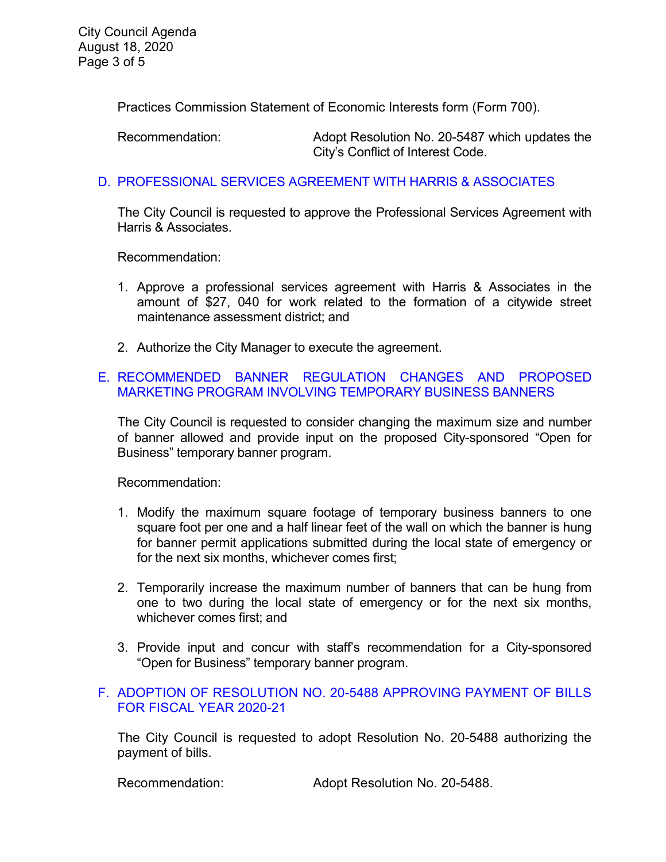Practices Commission Statement of Economic Interests form (Form 700).

Recommendation: Adopt Resolution No. 20-5487 which updates the City's Conflict of Interest Code.

# D. [PROFESSIONAL SERVICES AGREEMENT WITH HARRIS & ASSOCIATES](https://ca-templecity.civicplus.com/DocumentCenter/View/14906/07-7D-Harris-and-Associates_Staff-Report_w-attachment)

The City Council is requested to approve the Professional Services Agreement with Harris & Associates.

Recommendation:

- 1. Approve a professional services agreement with Harris & Associates in the amount of \$27, 040 for work related to the formation of a citywide street maintenance assessment district; and
- 2. Authorize the City Manager to execute the agreement.

### E. [RECOMMENDED BANNER REGULATION CHANGES AND PROPOSED](https://ca-templecity.civicplus.com/DocumentCenter/View/14910/09-7E-Banner-Regulation_Staff-Report)  [MARKETING PROGRAM INVOLVING TEMPORARY BUSINESS BANNERS](https://ca-templecity.civicplus.com/DocumentCenter/View/14910/09-7E-Banner-Regulation_Staff-Report)

The City Council is requested to consider changing the maximum size and number of banner allowed and provide input on the proposed City-sponsored "Open for Business" temporary banner program.

Recommendation:

- 1. Modify the maximum square footage of temporary business banners to one square foot per one and a half linear feet of the wall on which the banner is hung for banner permit applications submitted during the local state of emergency or for the next six months, whichever comes first;
- 2. Temporarily increase the maximum number of banners that can be hung from one to two during the local state of emergency or for the next six months, whichever comes first; and
- 3. Provide input and concur with staff's recommendation for a City-sponsored "Open for Business" temporary banner program.

# F. [ADOPTION OF RESOLUTION NO. 20-5488](https://ca-templecity.civicplus.com/DocumentCenter/View/14907/09-7F-Warrant-Register_Reso-No-20-5488-81820---Warrants--Demands-FY-2020-2021) APPROVING PAYMENT OF BILLS [FOR FISCAL YEAR 2020-21](https://ca-templecity.civicplus.com/DocumentCenter/View/14907/09-7F-Warrant-Register_Reso-No-20-5488-81820---Warrants--Demands-FY-2020-2021)

The City Council is requested to adopt Resolution No. 20-5488 authorizing the payment of bills.

Recommendation: Adopt Resolution No. 20-5488.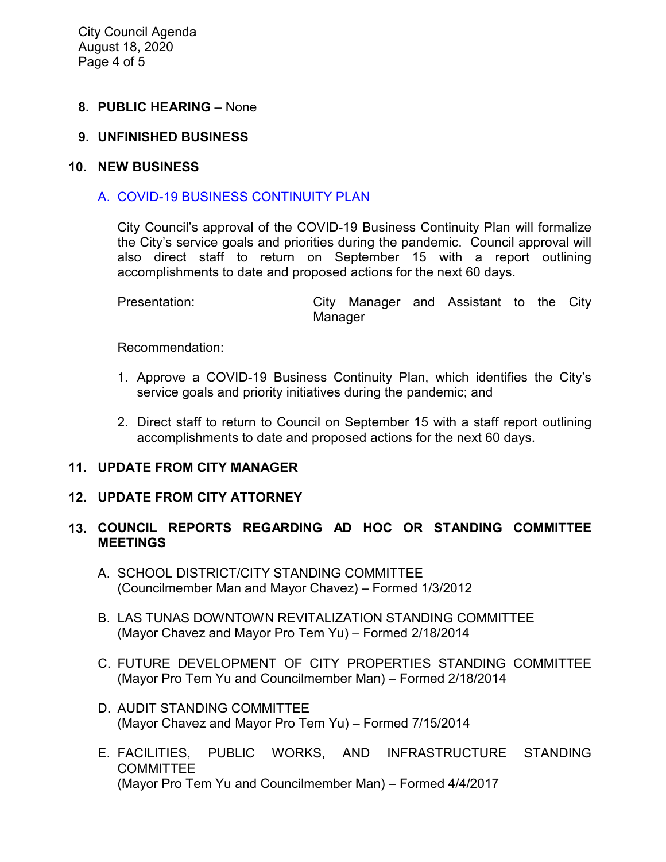City Council Agenda August 18, 2020 Page 4 of 5

### **8. PUBLIC HEARING** – None

### **9. UNFINISHED BUSINESS**

#### **10. NEW BUSINESS**

### A. [COVID-19 BUSINESS CONTINUITY PLAN](https://ca-templecity.civicplus.com/DocumentCenter/View/14911/11-10A_Continuity-Plan_Staff-Report_w-attachment)

City Council's approval of the COVID-19 Business Continuity Plan will formalize the City's service goals and priorities during the pandemic. Council approval will also direct staff to return on September 15 with a report outlining accomplishments to date and proposed actions for the next 60 days.

| Presentation: |         |  | City Manager and Assistant to the City |  |  |
|---------------|---------|--|----------------------------------------|--|--|
|               | Manager |  |                                        |  |  |

Recommendation:

- 1. Approve a COVID-19 Business Continuity Plan, which identifies the City's service goals and priority initiatives during the pandemic; and
- 2. Direct staff to return to Council on September 15 with a staff report outlining accomplishments to date and proposed actions for the next 60 days.

### **11. UPDATE FROM CITY MANAGER**

#### **12. UPDATE FROM CITY ATTORNEY**

### **13. COUNCIL REPORTS REGARDING AD HOC OR STANDING COMMITTEE MEETINGS**

- A. SCHOOL DISTRICT/CITY STANDING COMMITTEE (Councilmember Man and Mayor Chavez) – Formed 1/3/2012
- B. LAS TUNAS DOWNTOWN REVITALIZATION STANDING COMMITTEE (Mayor Chavez and Mayor Pro Tem Yu) – Formed 2/18/2014
- C. FUTURE DEVELOPMENT OF CITY PROPERTIES STANDING COMMITTEE (Mayor Pro Tem Yu and Councilmember Man) – Formed 2/18/2014
- D. AUDIT STANDING COMMITTEE (Mayor Chavez and Mayor Pro Tem Yu) – Formed 7/15/2014
- E. FACILITIES, PUBLIC WORKS, AND INFRASTRUCTURE STANDING **COMMITTEE** (Mayor Pro Tem Yu and Councilmember Man) – Formed 4/4/2017